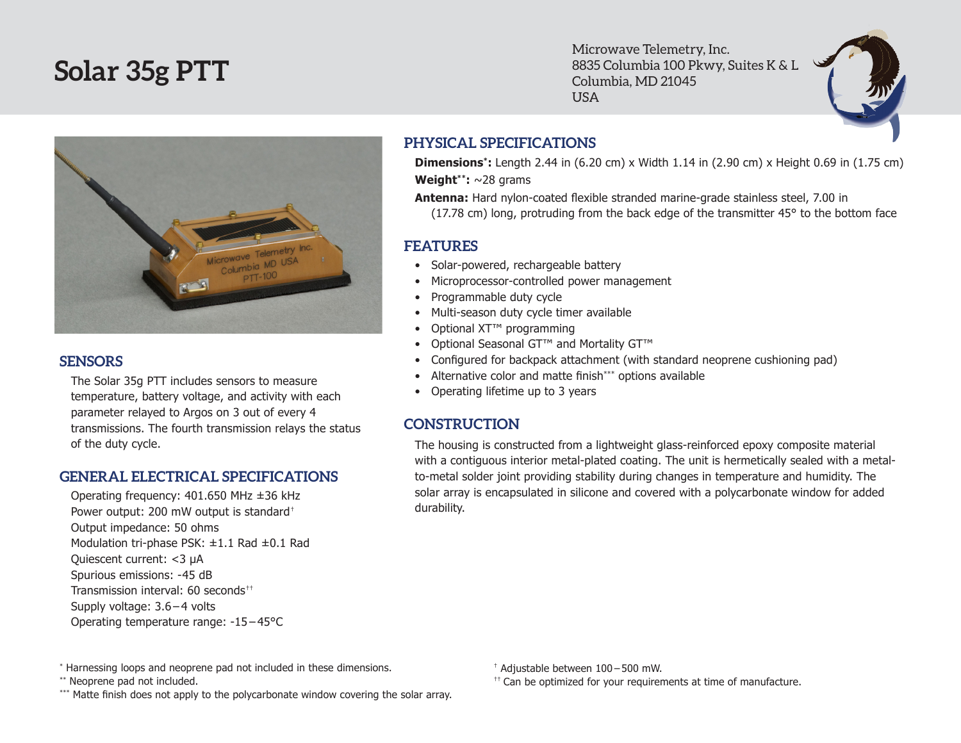# **Solar 35g PTT**

Microwave Telemetry, Inc. 8835 Columbia 100 Pkwy, Suites K & L Columbia, MD 21045 USA



#### **SENSORS**

The Solar 35g PTT includes sensors to measure temperature, battery voltage, and activity with each parameter relayed to Argos on 3 out of every 4 transmissions. The fourth transmission relays the status of the duty cycle.

### **GENERAL ELECTRICAL SPECIFICATIONS**

Operating frequency: 401.650 MHz ±36 kHz Power output: 200 mW output is standard† Output impedance: 50 ohms Modulation tri-phase PSK: ±1.1 Rad ±0.1 Rad Quiescent current: <3 µA Spurious emissions: -45 dB Transmission interval: 60 seconds<sup>††</sup> Supply voltage: 3.6 – 4 volts Operating temperature range: -15 – 45°C

## **PHYSICAL SPECIFICATIONS**

**Dimensions\*:** Length 2.44 in (6.20 cm) x Width 1.14 in (2.90 cm) x Height 0.69 in (1.75 cm) **Weight\*\*:** ~28 grams

**Antenna:** Hard nylon-coated flexible stranded marine-grade stainless steel, 7.00 in (17.78 cm) long, protruding from the back edge of the transmitter 45° to the bottom face

## **FEATURES**

- Solar-powered, rechargeable battery
- Microprocessor-controlled power management
- • Programmable duty cycle
- Multi-season duty cycle timer available
- Optional XT<sup>™</sup> programming
- Optional Seasonal GT™ and Mortality GT™
- Configured for backpack attachment (with standard neoprene cushioning pad)
- Alternative color and matte finish\*\*\* options available
- Operating lifetime up to 3 years

## **CONSTRUCTION**

The housing is constructed from a lightweight glass-reinforced epoxy composite material with a contiguous interior metal-plated coating. The unit is hermetically sealed with a metalto-metal solder joint providing stability during changes in temperature and humidity. The solar array is encapsulated in silicone and covered with a polycarbonate window for added durability.

\*\* Neoprene pad not included.

\*\*\* Matte finish does not apply to the polycarbonate window covering the solar array.

† Adjustable between 100 – 500 mW.

 $<sup>††</sup>$  Can be optimized for your requirements at time of manufacture.</sup>

<sup>\*</sup> Harnessing loops and neoprene pad not included in these dimensions.